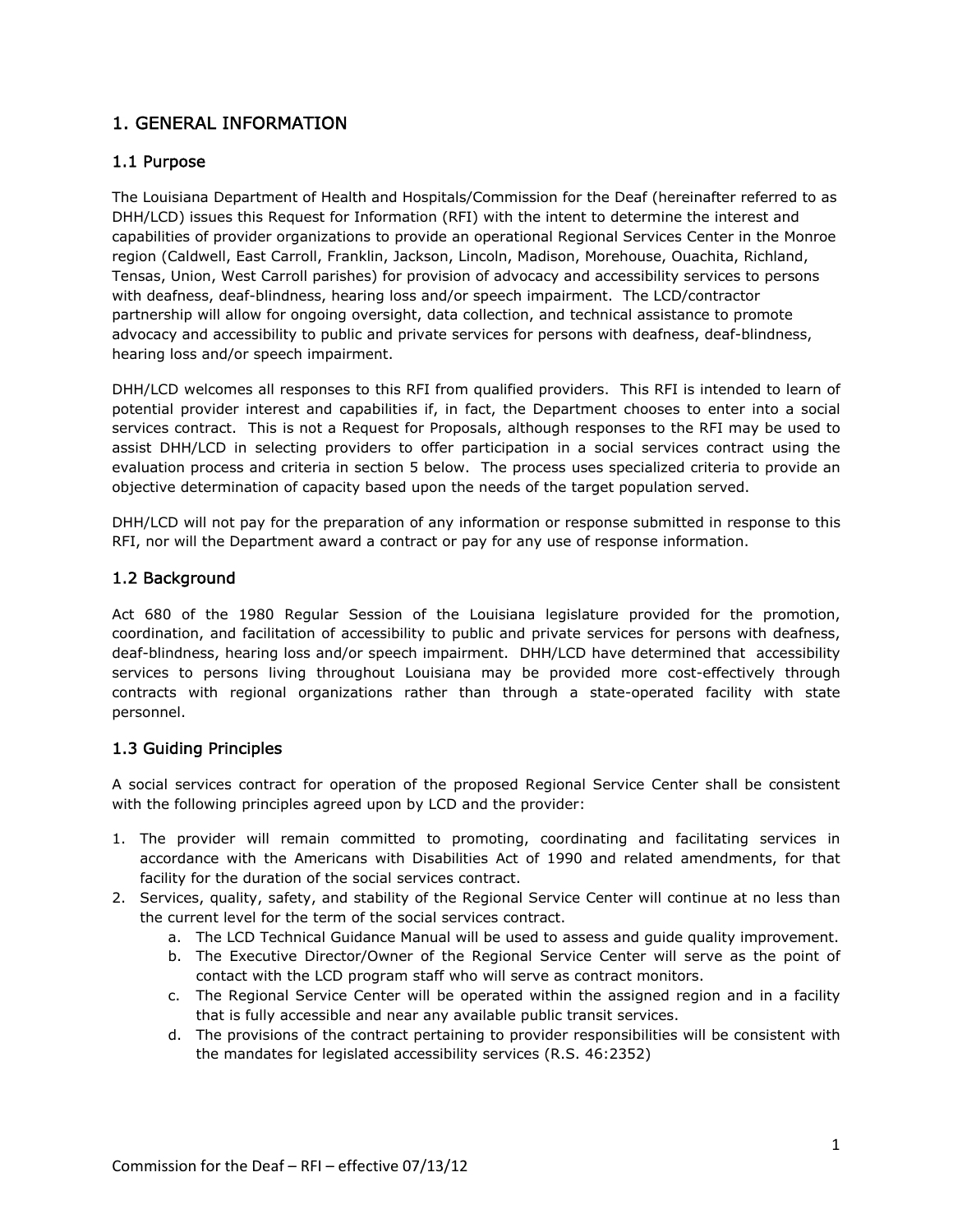# 1. GENERAL INFORMATION

## 1.1 Purpose

The Louisiana Department of Health and Hospitals/Commission for the Deaf (hereinafter referred to as DHH/LCD) issues this Request for Information (RFI) with the intent to determine the interest and capabilities of provider organizations to provide an operational Regional Services Center in the Monroe region (Caldwell, East Carroll, Franklin, Jackson, Lincoln, Madison, Morehouse, Ouachita, Richland, Tensas, Union, West Carroll parishes) for provision of advocacy and accessibility services to persons with deafness, deaf-blindness, hearing loss and/or speech impairment. The LCD/contractor partnership will allow for ongoing oversight, data collection, and technical assistance to promote advocacy and accessibility to public and private services for persons with deafness, deaf-blindness, hearing loss and/or speech impairment.

DHH/LCD welcomes all responses to this RFI from qualified providers. This RFI is intended to learn of potential provider interest and capabilities if, in fact, the Department chooses to enter into a social services contract. This is not a Request for Proposals, although responses to the RFI may be used to assist DHH/LCD in selecting providers to offer participation in a social services contract using the evaluation process and criteria in section 5 below. The process uses specialized criteria to provide an objective determination of capacity based upon the needs of the target population served.

DHH/LCD will not pay for the preparation of any information or response submitted in response to this RFI, nor will the Department award a contract or pay for any use of response information.

## 1.2 Background

Act 680 of the 1980 Regular Session of the Louisiana legislature provided for the promotion, coordination, and facilitation of accessibility to public and private services for persons with deafness, deaf-blindness, hearing loss and/or speech impairment. DHH/LCD have determined that accessibility services to persons living throughout Louisiana may be provided more cost-effectively through contracts with regional organizations rather than through a state-operated facility with state personnel.

## 1.3 Guiding Principles

A social services contract for operation of the proposed Regional Service Center shall be consistent with the following principles agreed upon by LCD and the provider:

- 1. The provider will remain committed to promoting, coordinating and facilitating services in accordance with the Americans with Disabilities Act of 1990 and related amendments, for that facility for the duration of the social services contract.
- 2. Services, quality, safety, and stability of the Regional Service Center will continue at no less than the current level for the term of the social services contract.
	- a. The LCD Technical Guidance Manual will be used to assess and guide quality improvement.
	- b. The Executive Director/Owner of the Regional Service Center will serve as the point of contact with the LCD program staff who will serve as contract monitors.
	- c. The Regional Service Center will be operated within the assigned region and in a facility that is fully accessible and near any available public transit services.
	- d. The provisions of the contract pertaining to provider responsibilities will be consistent with the mandates for legislated accessibility services (R.S. 46:2352)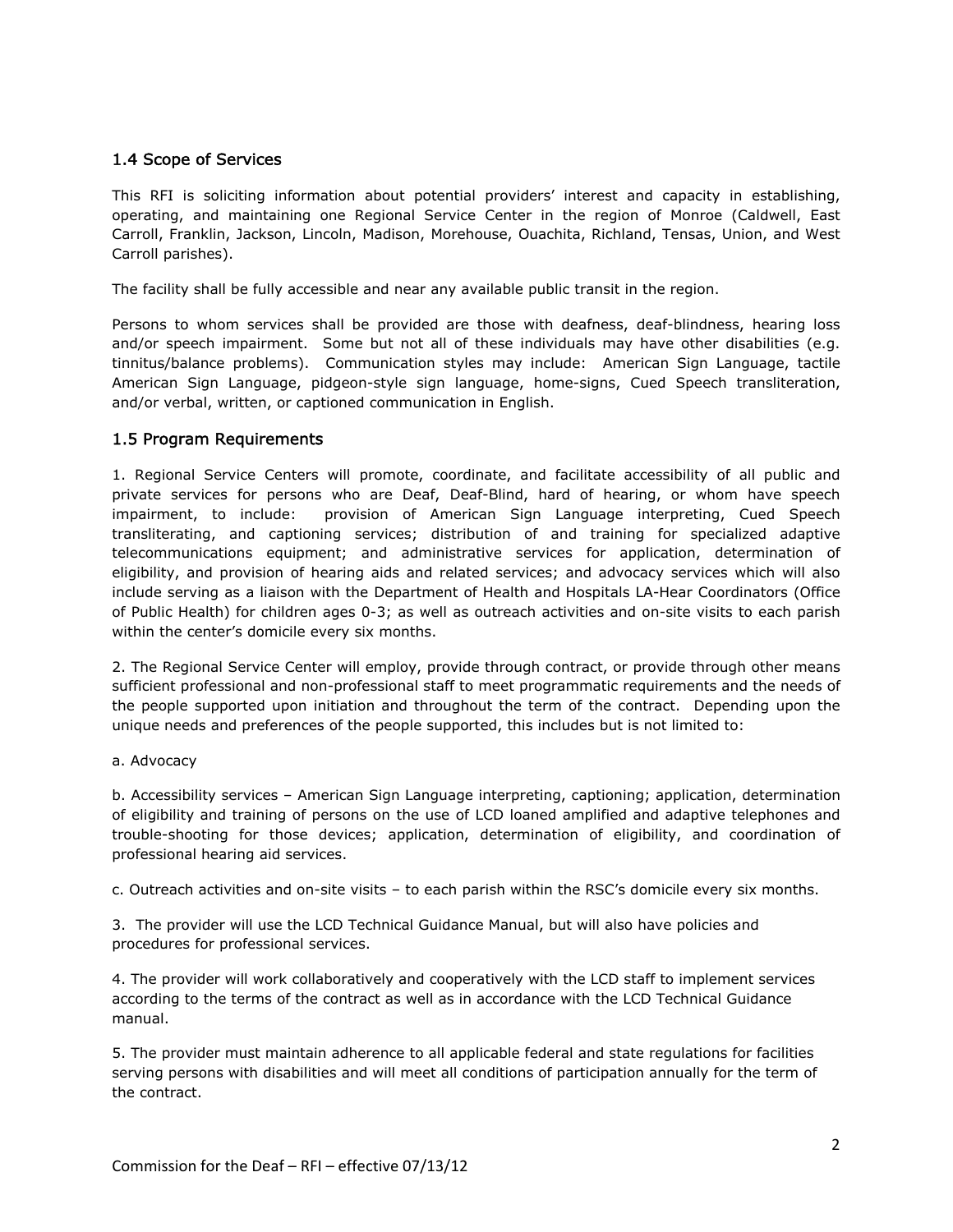## 1.4 Scope of Services

This RFI is soliciting information about potential providers' interest and capacity in establishing, operating, and maintaining one Regional Service Center in the region of Monroe (Caldwell, East Carroll, Franklin, Jackson, Lincoln, Madison, Morehouse, Ouachita, Richland, Tensas, Union, and West Carroll parishes).

The facility shall be fully accessible and near any available public transit in the region.

Persons to whom services shall be provided are those with deafness, deaf-blindness, hearing loss and/or speech impairment. Some but not all of these individuals may have other disabilities (e.g. tinnitus/balance problems). Communication styles may include: American Sign Language, tactile American Sign Language, pidgeon-style sign language, home-signs, Cued Speech transliteration, and/or verbal, written, or captioned communication in English.

#### 1.5 Program Requirements

1. Regional Service Centers will promote, coordinate, and facilitate accessibility of all public and private services for persons who are Deaf, Deaf-Blind, hard of hearing, or whom have speech impairment, to include: provision of American Sign Language interpreting, Cued Speech transliterating, and captioning services; distribution of and training for specialized adaptive telecommunications equipment; and administrative services for application, determination of eligibility, and provision of hearing aids and related services; and advocacy services which will also include serving as a liaison with the Department of Health and Hospitals LA-Hear Coordinators (Office of Public Health) for children ages 0-3; as well as outreach activities and on-site visits to each parish within the center's domicile every six months.

2. The Regional Service Center will employ, provide through contract, or provide through other means sufficient professional and non-professional staff to meet programmatic requirements and the needs of the people supported upon initiation and throughout the term of the contract. Depending upon the unique needs and preferences of the people supported, this includes but is not limited to:

#### a. Advocacy

b. Accessibility services – American Sign Language interpreting, captioning; application, determination of eligibility and training of persons on the use of LCD loaned amplified and adaptive telephones and trouble-shooting for those devices; application, determination of eligibility, and coordination of professional hearing aid services.

c. Outreach activities and on-site visits – to each parish within the RSC's domicile every six months.

3. The provider will use the LCD Technical Guidance Manual, but will also have policies and procedures for professional services.

4. The provider will work collaboratively and cooperatively with the LCD staff to implement services according to the terms of the contract as well as in accordance with the LCD Technical Guidance manual.

5. The provider must maintain adherence to all applicable federal and state regulations for facilities serving persons with disabilities and will meet all conditions of participation annually for the term of the contract.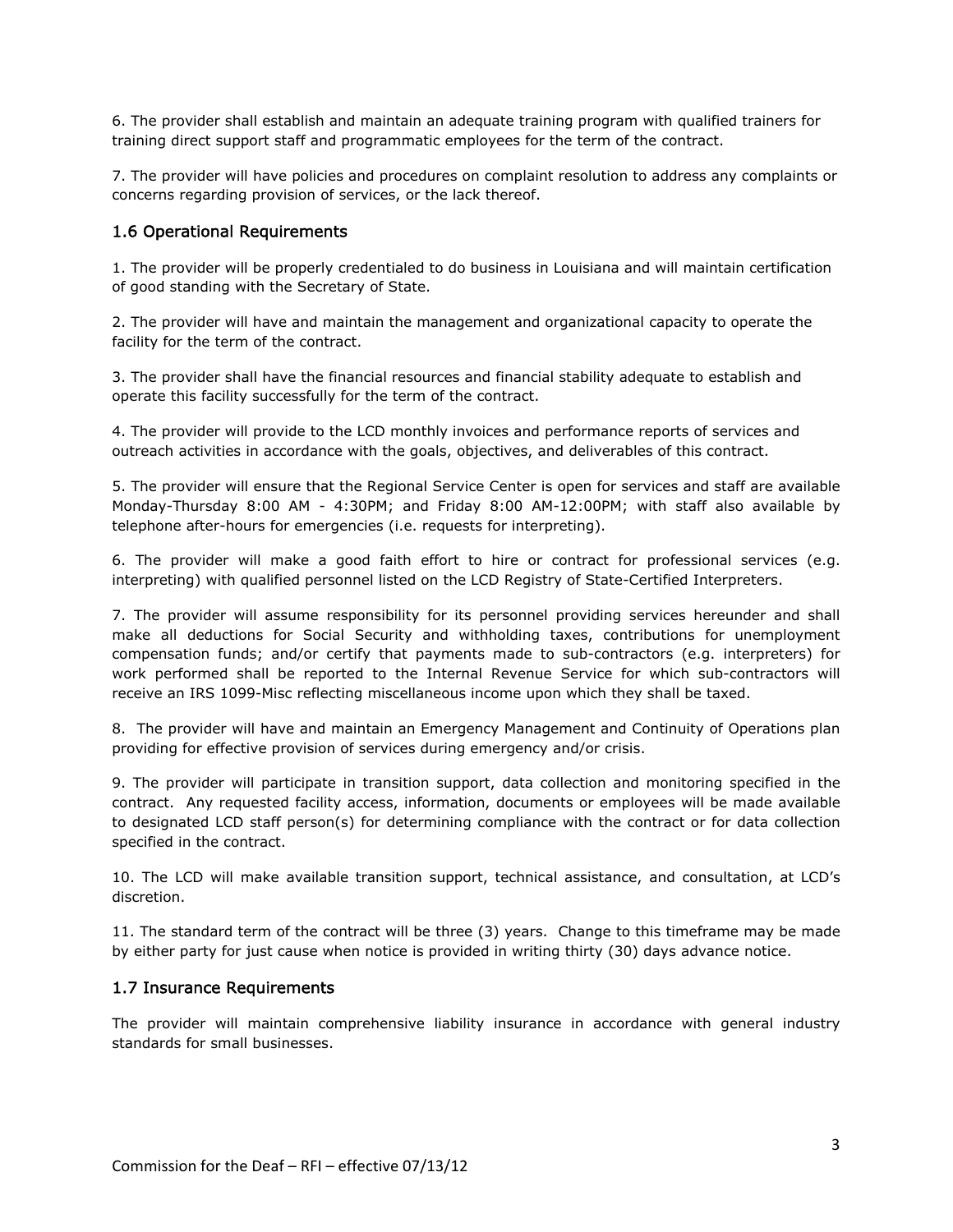6. The provider shall establish and maintain an adequate training program with qualified trainers for training direct support staff and programmatic employees for the term of the contract.

7. The provider will have policies and procedures on complaint resolution to address any complaints or concerns regarding provision of services, or the lack thereof.

## 1.6 Operational Requirements

1. The provider will be properly credentialed to do business in Louisiana and will maintain certification of good standing with the Secretary of State.

2. The provider will have and maintain the management and organizational capacity to operate the facility for the term of the contract.

3. The provider shall have the financial resources and financial stability adequate to establish and operate this facility successfully for the term of the contract.

4. The provider will provide to the LCD monthly invoices and performance reports of services and outreach activities in accordance with the goals, objectives, and deliverables of this contract.

5. The provider will ensure that the Regional Service Center is open for services and staff are available Monday-Thursday 8:00 AM - 4:30PM; and Friday 8:00 AM-12:00PM; with staff also available by telephone after-hours for emergencies (i.e. requests for interpreting).

6. The provider will make a good faith effort to hire or contract for professional services (e.g. interpreting) with qualified personnel listed on the LCD Registry of State-Certified Interpreters.

7. The provider will assume responsibility for its personnel providing services hereunder and shall make all deductions for Social Security and withholding taxes, contributions for unemployment compensation funds; and/or certify that payments made to sub-contractors (e.g. interpreters) for work performed shall be reported to the Internal Revenue Service for which sub-contractors will receive an IRS 1099-Misc reflecting miscellaneous income upon which they shall be taxed.

8. The provider will have and maintain an Emergency Management and Continuity of Operations plan providing for effective provision of services during emergency and/or crisis.

9. The provider will participate in transition support, data collection and monitoring specified in the contract. Any requested facility access, information, documents or employees will be made available to designated LCD staff person(s) for determining compliance with the contract or for data collection specified in the contract.

10. The LCD will make available transition support, technical assistance, and consultation, at LCD's discretion.

11. The standard term of the contract will be three (3) years. Change to this timeframe may be made by either party for just cause when notice is provided in writing thirty (30) days advance notice.

## 1.7 Insurance Requirements

The provider will maintain comprehensive liability insurance in accordance with general industry standards for small businesses.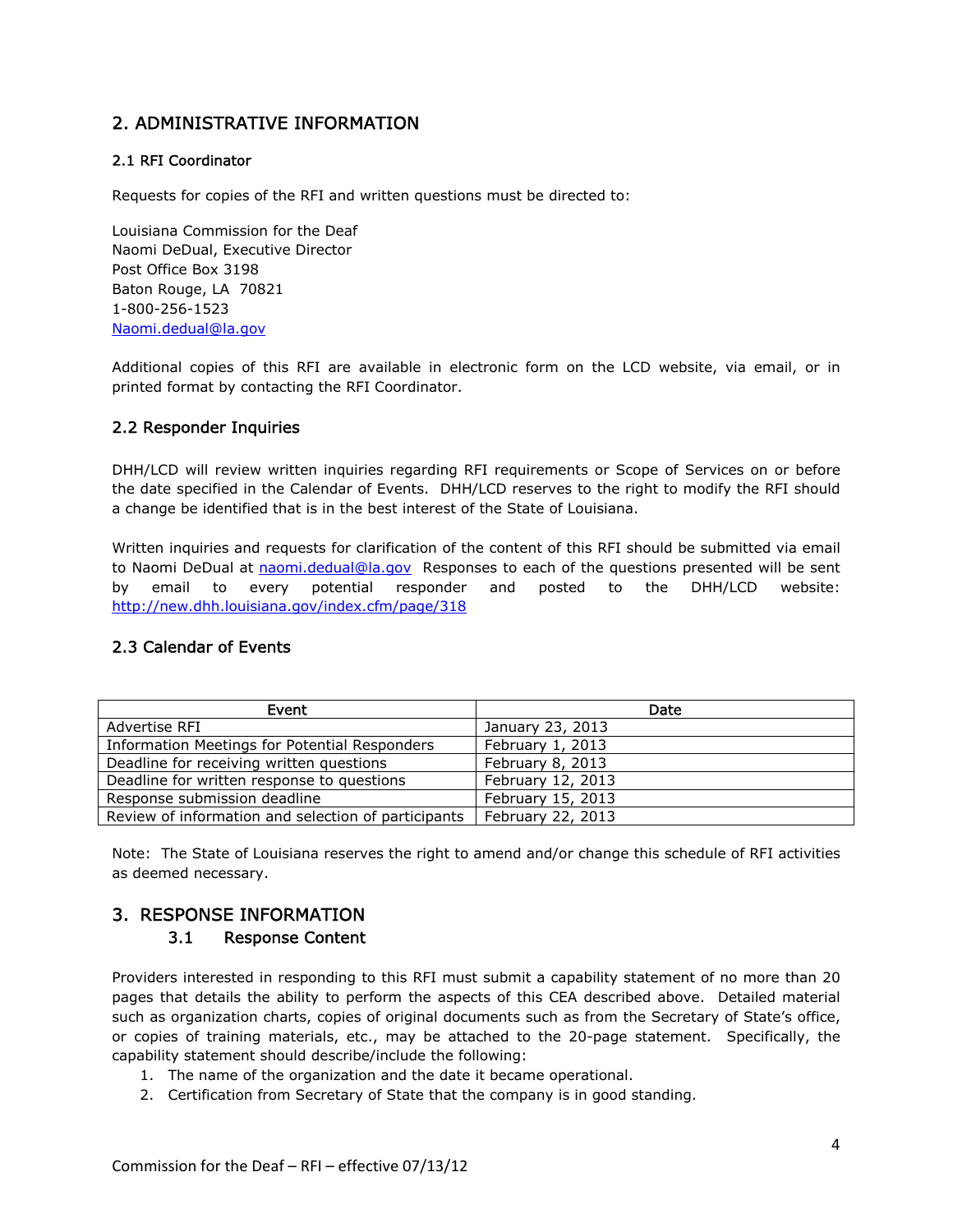# 2. ADMINISTRATIVE INFORMATION

## 2.1 RFI Coordinator

Requests for copies of the RFI and written questions must be directed to:

Louisiana Commission for the Deaf Naomi DeDual, Executive Director Post Office Box 3198 Baton Rouge, LA 70821 1-800-256-1523 Naomi.dedual@la.gov

Additional copies of this RFI are available in electronic form on the LCD website, via email, or in printed format by contacting the RFI Coordinator.

## 2.2 Responder Inquiries

DHH/LCD will review written inquiries regarding RFI requirements or Scope of Services on or before the date specified in the Calendar of Events. DHH/LCD reserves to the right to modify the RFI should a change be identified that is in the best interest of the State of Louisiana.

Written inquiries and requests for clarification of the content of this RFI should be submitted via email to Naomi DeDual at naomi.dedual@la.gov Responses to each of the questions presented will be sent by email to every potential responder and posted to the DHH/LCD website: http://new.dhh.louisiana.gov/index.cfm/page/318

## 2.3 Calendar of Events

| Event                                               | Date              |
|-----------------------------------------------------|-------------------|
| Advertise RFI                                       | January 23, 2013  |
| Information Meetings for Potential Responders       | February 1, 2013  |
| Deadline for receiving written questions            | February 8, 2013  |
| Deadline for written response to questions          | February 12, 2013 |
| Response submission deadline                        | February 15, 2013 |
| Review of information and selection of participants | February 22, 2013 |

Note: The State of Louisiana reserves the right to amend and/or change this schedule of RFI activities as deemed necessary.

# 3. RESPONSE INFORMATION

## 3.1 Response Content

Providers interested in responding to this RFI must submit a capability statement of no more than 20 pages that details the ability to perform the aspects of this CEA described above. Detailed material such as organization charts, copies of original documents such as from the Secretary of State's office, or copies of training materials, etc., may be attached to the 20-page statement. Specifically, the capability statement should describe/include the following:

- 1. The name of the organization and the date it became operational.
- 2. Certification from Secretary of State that the company is in good standing.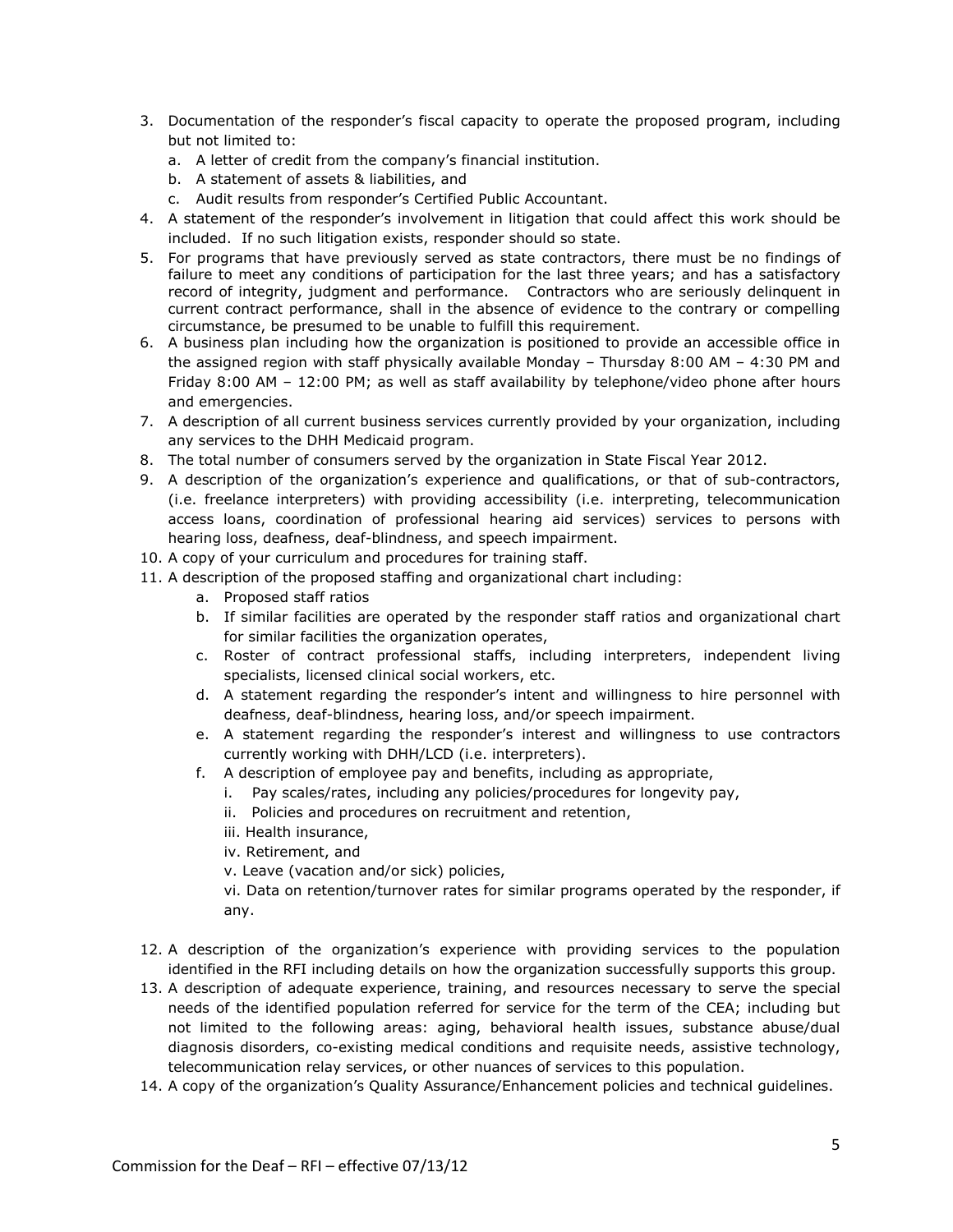- 3. Documentation of the responder's fiscal capacity to operate the proposed program, including but not limited to:
	- a. A letter of credit from the company's financial institution.
	- b. A statement of assets & liabilities, and
	- c. Audit results from responder's Certified Public Accountant.
- 4. A statement of the responder's involvement in litigation that could affect this work should be included. If no such litigation exists, responder should so state.
- 5. For programs that have previously served as state contractors, there must be no findings of failure to meet any conditions of participation for the last three years; and has a satisfactory record of integrity, judgment and performance. Contractors who are seriously delinquent in current contract performance, shall in the absence of evidence to the contrary or compelling circumstance, be presumed to be unable to fulfill this requirement.
- 6. A business plan including how the organization is positioned to provide an accessible office in the assigned region with staff physically available Monday – Thursday 8:00 AM – 4:30 PM and Friday 8:00 AM – 12:00 PM; as well as staff availability by telephone/video phone after hours and emergencies.
- 7. A description of all current business services currently provided by your organization, including any services to the DHH Medicaid program.
- 8. The total number of consumers served by the organization in State Fiscal Year 2012.
- 9. A description of the organization's experience and qualifications, or that of sub-contractors, (i.e. freelance interpreters) with providing accessibility (i.e. interpreting, telecommunication access loans, coordination of professional hearing aid services) services to persons with hearing loss, deafness, deaf-blindness, and speech impairment.
- 10. A copy of your curriculum and procedures for training staff.
- 11. A description of the proposed staffing and organizational chart including:
	- a. Proposed staff ratios
	- b. If similar facilities are operated by the responder staff ratios and organizational chart for similar facilities the organization operates,
	- c. Roster of contract professional staffs, including interpreters, independent living specialists, licensed clinical social workers, etc.
	- d. A statement regarding the responder's intent and willingness to hire personnel with deafness, deaf-blindness, hearing loss, and/or speech impairment.
	- e. A statement regarding the responder's interest and willingness to use contractors currently working with DHH/LCD (i.e. interpreters).
	- f. A description of employee pay and benefits, including as appropriate,
		- i. Pay scales/rates, including any policies/procedures for longevity pay,
			- ii. Policies and procedures on recruitment and retention,
		- iii. Health insurance,
		- iv. Retirement, and
		- v. Leave (vacation and/or sick) policies,

vi. Data on retention/turnover rates for similar programs operated by the responder, if any.

- 12. A description of the organization's experience with providing services to the population identified in the RFI including details on how the organization successfully supports this group.
- 13. A description of adequate experience, training, and resources necessary to serve the special needs of the identified population referred for service for the term of the CEA; including but not limited to the following areas: aging, behavioral health issues, substance abuse/dual diagnosis disorders, co-existing medical conditions and requisite needs, assistive technology, telecommunication relay services, or other nuances of services to this population.
- 14. A copy of the organization's Quality Assurance/Enhancement policies and technical guidelines.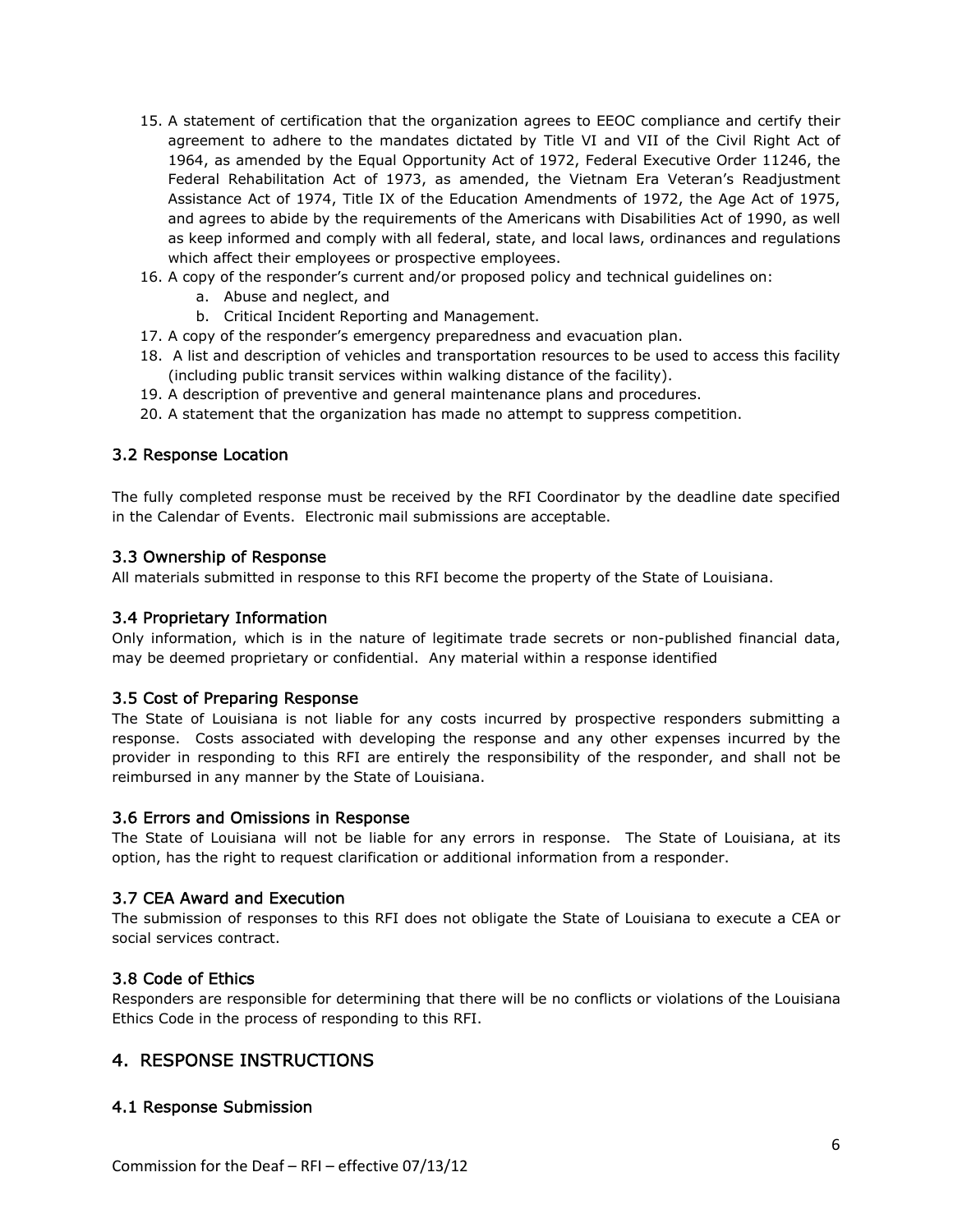- 15. A statement of certification that the organization agrees to EEOC compliance and certify their agreement to adhere to the mandates dictated by Title VI and VII of the Civil Right Act of 1964, as amended by the Equal Opportunity Act of 1972, Federal Executive Order 11246, the Federal Rehabilitation Act of 1973, as amended, the Vietnam Era Veteran's Readjustment Assistance Act of 1974, Title IX of the Education Amendments of 1972, the Age Act of 1975, and agrees to abide by the requirements of the Americans with Disabilities Act of 1990, as well as keep informed and comply with all federal, state, and local laws, ordinances and regulations which affect their employees or prospective employees.
- 16. A copy of the responder's current and/or proposed policy and technical guidelines on:
	- a. Abuse and neglect, and
	- b. Critical Incident Reporting and Management.
- 17. A copy of the responder's emergency preparedness and evacuation plan.
- 18. A list and description of vehicles and transportation resources to be used to access this facility (including public transit services within walking distance of the facility).
- 19. A description of preventive and general maintenance plans and procedures.
- 20. A statement that the organization has made no attempt to suppress competition.

## 3.2 Response Location

The fully completed response must be received by the RFI Coordinator by the deadline date specified in the Calendar of Events. Electronic mail submissions are acceptable.

#### 3.3 Ownership of Response

All materials submitted in response to this RFI become the property of the State of Louisiana.

#### 3.4 Proprietary Information

Only information, which is in the nature of legitimate trade secrets or non-published financial data, may be deemed proprietary or confidential. Any material within a response identified

#### 3.5 Cost of Preparing Response

The State of Louisiana is not liable for any costs incurred by prospective responders submitting a response. Costs associated with developing the response and any other expenses incurred by the provider in responding to this RFI are entirely the responsibility of the responder, and shall not be reimbursed in any manner by the State of Louisiana.

#### 3.6 Errors and Omissions in Response

The State of Louisiana will not be liable for any errors in response. The State of Louisiana, at its option, has the right to request clarification or additional information from a responder.

#### 3.7 CEA Award and Execution

The submission of responses to this RFI does not obligate the State of Louisiana to execute a CEA or social services contract.

#### 3.8 Code of Ethics

Responders are responsible for determining that there will be no conflicts or violations of the Louisiana Ethics Code in the process of responding to this RFI.

## 4. RESPONSE INSTRUCTIONS

## 4.1 Response Submission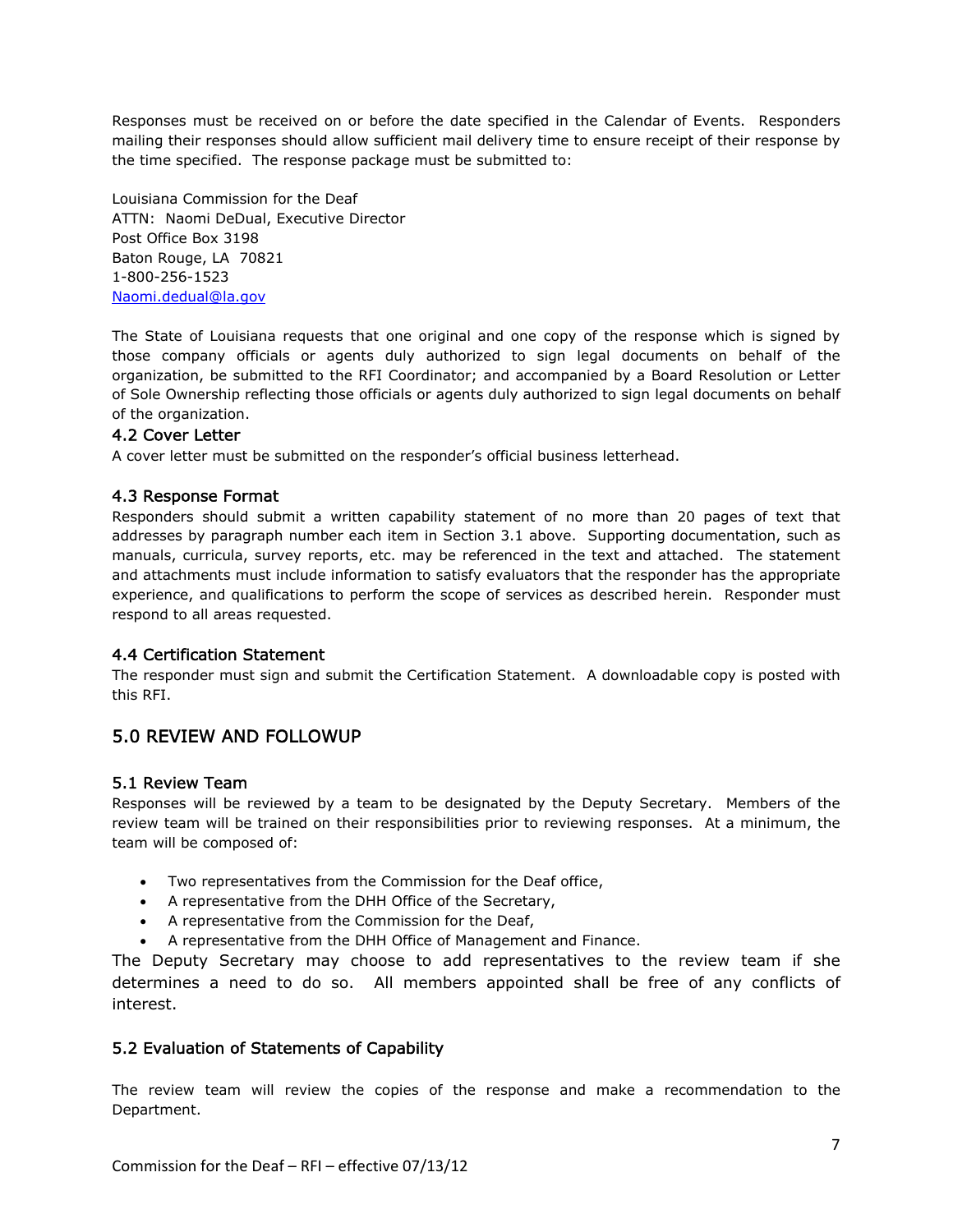Responses must be received on or before the date specified in the Calendar of Events. Responders mailing their responses should allow sufficient mail delivery time to ensure receipt of their response by the time specified. The response package must be submitted to:

Louisiana Commission for the Deaf ATTN: Naomi DeDual, Executive Director Post Office Box 3198 Baton Rouge, LA 70821 1-800-256-1523 Naomi.dedual@la.gov

The State of Louisiana requests that one original and one copy of the response which is signed by those company officials or agents duly authorized to sign legal documents on behalf of the organization, be submitted to the RFI Coordinator; and accompanied by a Board Resolution or Letter of Sole Ownership reflecting those officials or agents duly authorized to sign legal documents on behalf of the organization.

#### 4.2 Cover Letter

A cover letter must be submitted on the responder's official business letterhead.

#### 4.3 Response Format

Responders should submit a written capability statement of no more than 20 pages of text that addresses by paragraph number each item in Section 3.1 above. Supporting documentation, such as manuals, curricula, survey reports, etc. may be referenced in the text and attached. The statement and attachments must include information to satisfy evaluators that the responder has the appropriate experience, and qualifications to perform the scope of services as described herein. Responder must respond to all areas requested.

#### 4.4 Certification Statement

The responder must sign and submit the Certification Statement. A downloadable copy is posted with this RFI.

## 5.0 REVIEW AND FOLLOWUP

#### 5.1 Review Team

Responses will be reviewed by a team to be designated by the Deputy Secretary. Members of the review team will be trained on their responsibilities prior to reviewing responses. At a minimum, the team will be composed of:

- Two representatives from the Commission for the Deaf office,
- A representative from the DHH Office of the Secretary,
- A representative from the Commission for the Deaf,
- A representative from the DHH Office of Management and Finance.

The Deputy Secretary may choose to add representatives to the review team if she determines a need to do so. All members appointed shall be free of any conflicts of interest.

## 5.2 Evaluation of Statements of Capability

The review team will review the copies of the response and make a recommendation to the Department.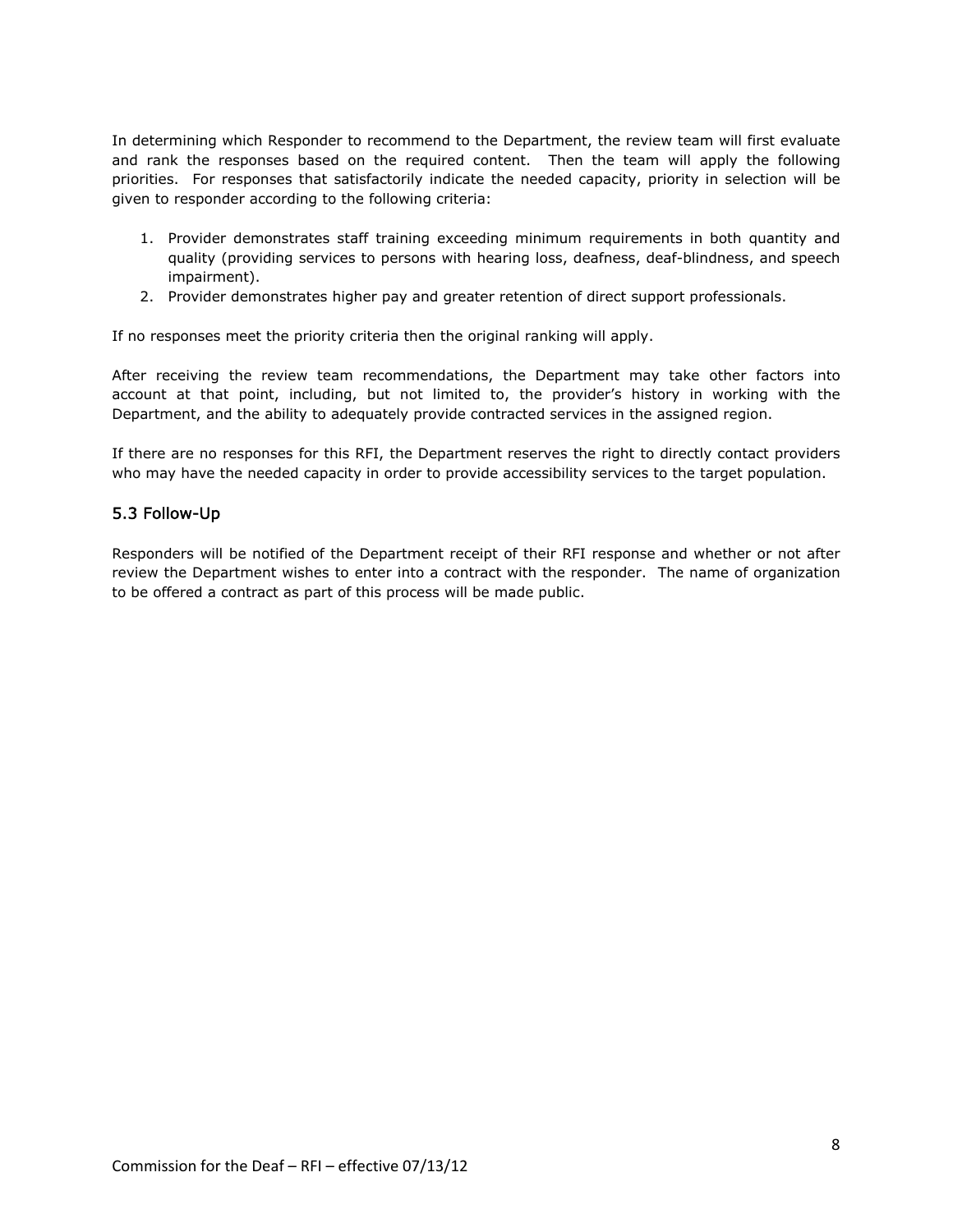In determining which Responder to recommend to the Department, the review team will first evaluate and rank the responses based on the required content. Then the team will apply the following priorities. For responses that satisfactorily indicate the needed capacity, priority in selection will be given to responder according to the following criteria:

- 1. Provider demonstrates staff training exceeding minimum requirements in both quantity and quality (providing services to persons with hearing loss, deafness, deaf-blindness, and speech impairment).
- 2. Provider demonstrates higher pay and greater retention of direct support professionals.

If no responses meet the priority criteria then the original ranking will apply.

After receiving the review team recommendations, the Department may take other factors into account at that point, including, but not limited to, the provider's history in working with the Department, and the ability to adequately provide contracted services in the assigned region.

If there are no responses for this RFI, the Department reserves the right to directly contact providers who may have the needed capacity in order to provide accessibility services to the target population.

## 5.3 Follow-Up

Responders will be notified of the Department receipt of their RFI response and whether or not after review the Department wishes to enter into a contract with the responder. The name of organization to be offered a contract as part of this process will be made public.